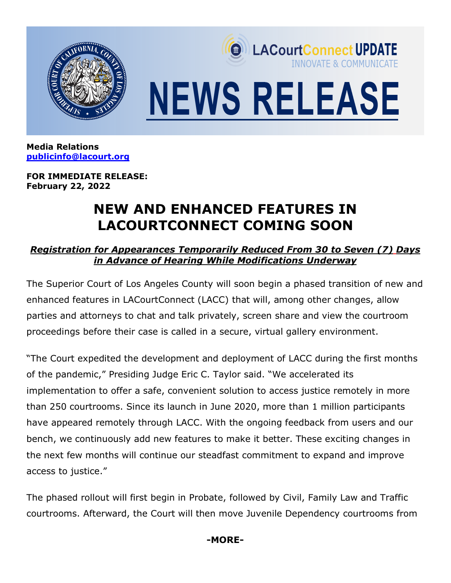

**Media Relations [publicinfo@lacourt.org](mailto:publicinfo@lacourt.org)**

**FOR IMMEDIATE RELEASE: February 22, 2022**

## **NEW AND ENHANCED FEATURES IN LACOURTCONNECT COMING SOON**

## *Registration for Appearances Temporarily Reduced From 30 to Seven (7) Days in Advance of Hearing While Modifications Underway*

The Superior Court of Los Angeles County will soon begin a phased transition of new and enhanced features in LACourtConnect (LACC) that will, among other changes, allow parties and attorneys to chat and talk privately, screen share and view the courtroom proceedings before their case is called in a secure, virtual gallery environment.

"The Court expedited the development and deployment of LACC during the first months of the pandemic," Presiding Judge Eric C. Taylor said. "We accelerated its implementation to offer a safe, convenient solution to access justice remotely in more than 250 courtrooms. Since its launch in June 2020, more than 1 million participants have appeared remotely through LACC. With the ongoing feedback from users and our bench, we continuously add new features to make it better. These exciting changes in the next few months will continue our steadfast commitment to expand and improve access to justice."

The phased rollout will first begin in Probate, followed by Civil, Family Law and Traffic courtrooms. Afterward, the Court will then move Juvenile Dependency courtrooms from

**-MORE-**